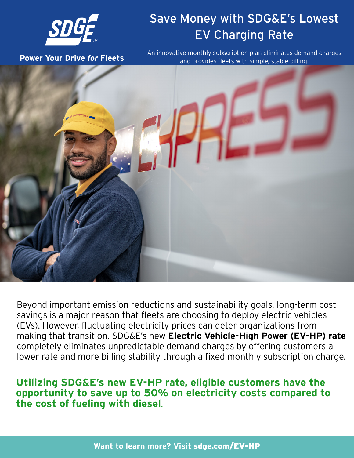

# Save Money with SDG&E's Lowest EV Charging Rate

**Power Your Drive** *for* **Fleets**

An innovative monthly subscription plan eliminates demand charges and provides fleets with simple, stable billing.



Beyond important emission reductions and sustainability goals, long-term cost savings is a major reason that fleets are choosing to deploy electric vehicles (EVs). However, fluctuating electricity prices can deter organizations from making that transition. SDG&E's new **Electric Vehicle-High Power (EV-HP) rate**  completely eliminates unpredictable demand charges by offering customers a lower rate and more billing stability through a fixed monthly subscription charge.

**Utilizing SDG&E's new EV-HP rate, eligible customers have the opportunity to save up to 50% on electricity costs compared to the cost of fueling with diesel**.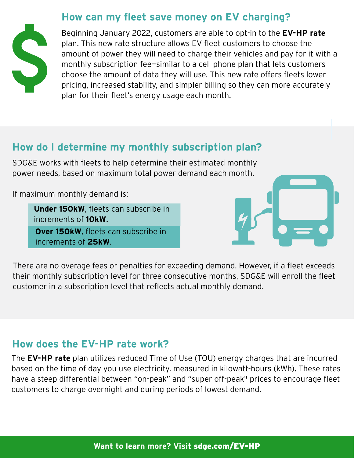#### **How can my fleet save money on EV charging?**



Beginning January 2022, customers are able to opt-in to the **EV-HP rate** plan. This new rate structure allows EV fleet customers to choose the amount of power they will need to charge their vehicles and pay for it with a monthly subscription fee—similar to a cell phone plan that lets customers choose the amount of data they will use. This new rate offers fleets lower pricing, increased stability, and simpler billing so they can more accurately plan for their fleet's energy usage each month.

### **How do I determine my monthly subscription plan?**

SDG&E works with fleets to help determine their estimated monthly power needs, based on maximum total power demand each month.

If maximum monthly demand is:

**Under 150kW**, fleets can subscribe in increments of **10kW**. **Over 150kW**, fleets can subscribe in

increments of **25kW**.



There are no overage fees or penalties for exceeding demand. However, if a fleet exceeds their monthly subscription level for three consecutive months, SDG&E will enroll the fleet customer in a subscription level that reflects actual monthly demand.

#### **How does the EV-HP rate work?**

The **EV-HP rate** plan utilizes reduced Time of Use (TOU) energy charges that are incurred based on the time of day you use electricity, measured in kilowatt-hours (kWh). These rates have a steep differential between "on-peak" and "super off-peak" prices to encourage fleet customers to charge overnight and during periods of lowest demand.